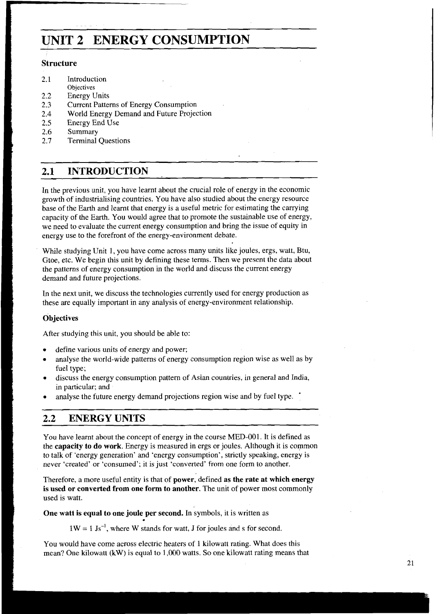# **UNIT 2 ENERGY CONSUMPTION**

# **Structure**

- 2.1 Introduction
- **Objectives**
- 2.2 Energy Units<br>2.3 Current Patter
- 2.3 Current Patterns of Energy Consumption<br>2.4 World Energy Demand and Future Project
- World Energy Demand and Future Projection
- 2.5 Energy End Use<br>2.6 Summary
- **Summary**
- 2.7 Terminal Questions

# **2.1 INTRODUCTION**

In the previous unit, you have learnt about the crucial role of energy in the economic growth of industrialising countries. You have also studied about the energy resource base of the Earth and learnt that energy is a useful metric for estimating the carrying capacity of the Earth. You would agree that to promote the sustainable use of energy, we need to evaluate the current energy consumption and bring the issue of equity in energy use to the forefront of the energy-environment debate.

While studying Unit 1, you have come across many units like joules, ergs, watt, Btu, Gtoe, etc. We begin this unit by defining these terms. Then we present the data about the patterns of energy consumption in the world and discuss the current energy demand and future projections.

In the next unit, we discuss the technologies currently used for energy production as these are equally important in any analysis of energy-environment relationship.

# **Objectives**

After studying this unit, you should be able to:

- define various units of energy and power;  $\bullet$
- analyse the world-wide patterns of energy consumption region wise as well as by fuel type;
- discuss the energy consumption pattern of Asian countries, in general and India, in particular; and
- analyse the future energy demand projections region wise and by fuel type.

# **2.2 ENERGY UNITS**

You have learnt about the concept of energy in the course MED-001. It is defined as the **capacity to do work.** Energy is measured in ergs or joules. Although it is common to talk of 'energy generation' and 'energy consumption', strictly speaking, energy is never 'created' or 'consumed'; it is just 'converted' from one form to another.

Therefore, a more useful entity is that of **power,** defined **as the rate at which energy is used or converted from one form to another.** The unit of power most commonly used is watt.

One watt is equal to one joule per second. In symbols, it is written as

 $1W = 1$  Js<sup>-1</sup>, where W stands for watt, J for joules and s for second.

You would have come across electric heaters of **1** kilowatt rating. What does this mean? One kilowatt **(kW)** is equal to 1,000 watts. So one kilowatt rating means that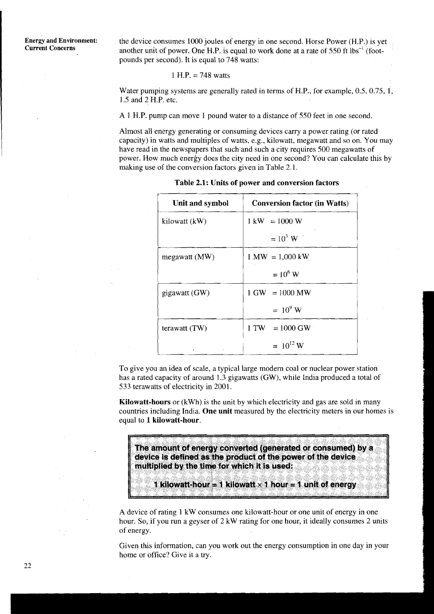**Energy and Environment:** the device consumes 1000 joules of energy in one second. Horse Power (H.P.) is yet **Current Concerns** another unit of power. One H.P. is equal to work done at a rate of 550 ft lbs<sup>-1</sup> (footpounds per second). It is equal to 748 watts:

#### 1 H.P. = 748 watts

Water pumping systems are generally rated in terms of H.P., for example, 0.5, 0.75, 1, 1.5 and 2 H.P. etc.

A 1 H.P. pump can move 1 pound water to a distance of 550 feet in one second.

Almost all energy generating or consuming devices carry a power rating (or rated capacity) in watts and multiples of watts, e.g., kilowatt, megawatt and so on. You may have read in the newspapers that such and such a city requires 500 megawatts of power. How much energy does the city need in one second? You can calculate this by making use of the conversion factors given in Table 2.1.

| Unit and symbol | <b>Conversion factor (in Watts)</b> |
|-----------------|-------------------------------------|
| kilowatt (kW)   | $1 \text{ kW} = 1000 \text{ W}$     |
|                 | $= 10^3$ W                          |
| megawatt $(MW)$ | $1 \text{ MW} = 1,000 \text{ kW}$   |
|                 | $= 10^6$ W                          |
| gigawatt (GW)   | $1 \text{ GW} = 1000 \text{ MW}$    |
|                 | $= 10^9$ W                          |
| terawatt (TW)   | $1 \text{ TW} = 1000 \text{ GW}$    |
|                 | $= 10^{12}$ W                       |

**Table 2.1: Units of power and conversion factors** 

To give you an idea of scale, a typical large modem coal or nuclear power station has a rated capacity of around 1.3 gigawatts (GW), while India produced a total of 533 terawatts of electricity in 2001.

**Kilowatt-hours** or (kwh) is the unit by which electricity and gas are sold in many countries including India. **One unit** measured by the electricity meters in our homes is equal to **1 kilowatt-hour.** 

The amount of energy converted (generated or consumed) by a device is defined as the product of the power of the device multiplied by the time for which it is used:

1 kilowatt-hour = 1 kilowatt  $\times$  1 hour = 1 unit of energy

A device of rating 1 kW consumes one kilowatt-hour or one unit of energy in one hour. So, if you run a geyser of 2 kW rating for one hour, it ideally consumes 2 units of energy.

Given this information, can you work out the energy consumption in one day in your home or office? Give it a try.

22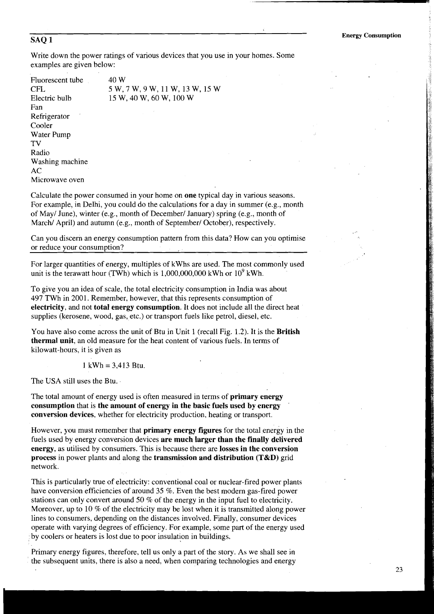Write down the power ratings of various devices that you use in your homes. Some examples are given below:

Fluorescent tube 40 W Fan Refrigerator Cooler Water Pump TV Radio Washing machine AC Microwave oven

CFL 5 W, 7 W, 9 W, 11 W, 13 W, 15 W<br>Electric bulb 15 W, 40 W, 60 W, 100 W 15 W, 40 W, 60 W, 100 W

Calculate the power consumed in your home on **one** typical day in various seasons. For example, in Delhi, you could do the calculations for a day in summer (e.g., month of May/ June), winter (e.g., month of December/ January) spring (e.g., month of March/ April) and autumn (e.g., month of September/ October), respectively.

Can you discern an energy consumption pattern from this data? How can you optimise or reduce your consumption?

For larger quantities of energy, multiples of kWhs are used. The most commonly used unit is the terawatt hour (TWh) which is  $1,000,000,000$  kWh or  $10^9$  kWh.

To give you an idea of scale, the total electricity consumption in India was about 497 TWh in 2001. Remember, however, that this represents consumption of **electricity,** and not **total energy consumption.** It does not include all the direct heat supplies (kerosene, wood, gas, etc.) or transport fuels like petrol, diesel, etc.

You have also come across the unit of Btu in Unit 1 (recall Fig. 1.2). It is the **British thermal unit,** an old measure for the heat content of various fuels. In terms of kilowatt-hours, it is given as

 $1$  kWh = 3,413 Btu.

The USA still uses the Btu.

The total amount of energy used is often measured in terms of **primary energy consumption** that is **the amount of energy in the basic fuels used by energy conversion devices,** whether for electricity production, heating or transport.

However, you must remember that **primary energy figures** for the total energy in the fuels used by energy conversion devices **are much larger than the finally delivered energy,** as utilised by consumers. This is because there are **losses in the conversion process** in power plants and along the **transmission and distribution (T&D)** grid network.

This is particularly true of electricity: conventional coal or nuclear-fired power plants have conversion efficiencies of around 35 %. Even the best modern gas-fired power stations can only convert around 50 % of the energy in the input fuel to electricity. Moreover, up to 10 % of the electricity may be lost when it is transmitted along power lines to consumers, depending on the distances involved. Finally, consumer devices operate with varying degrees of efficiency. For example, some part of the energy used by coolers or heaters is lost due to poor insulation in buildings.

Primary energy figures, therefore, tell us only a part of the story. As we shall see in the subsequent units, there is also a need, when comparing technologies and energy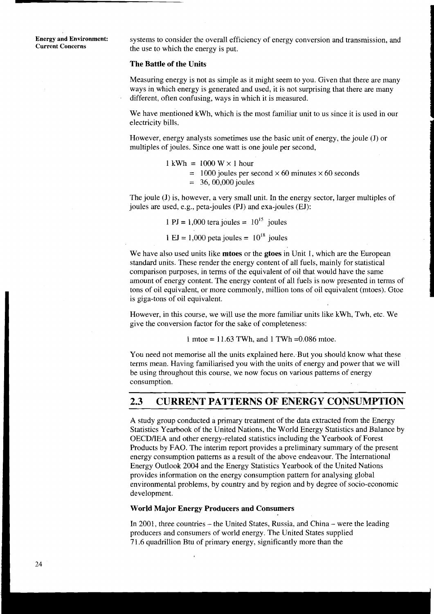**Energy and Environment:** systems to consider the overall efficiency of energy conversion and transmission, and current Concerns the use to which the energy is put.

## **The Battle of the Units**

Measuring energy is not as simple as it might seem to you. Given that there are many ways in which energy is generated and used, it is not surprising that there are many different, often confusing, ways in which it is measured.

We have mentioned kwh, which is the most familiar unit to us since it is used in our electricity bills.

However, energy analysts sometimes use the basic unit of energy, the joule (J) or multiples of joules. Since one watt is one joule per second,

> $1 \text{ kWh} = 1000 \text{ W} \times 1 \text{ hour}$  $= 1000$  joules per second  $\times 60$  minutes  $\times 60$  seconds  $= 36,00,000$  joules

The joule (J) is, however, a very small unit. In the energy sector, larger multiples of joules are used, e.g., peta-joules (PJ) and exa-joules (EJ):

1 PJ = 1,000 tera joules =  $10^{15}$  joules

1 EJ = 1,000 peta joules =  $10^{18}$  joules

We have also used units like **mtoes** or the **gtoes** in Unit 1, which are the European standard units. These render the energy content of all fuels, mainly for statistical comparison purposes, in terms of the equivalent of oil that would have the same amount of energy content. The energy content of all fuels is now presented in terms of tons of oil equivalent, or more commonly, million tons of oil equivalent (mtoes). Gtoe is giga-tons of oil equivalent.

However, in this course, we will use the more familiar units like kwh, Twh, etc. We give the conversion factor for the sake of completeness:

1 mtoe =  $11.63$  TWh, and 1 TWh = 0.086 mtoe.

You need not memorise all the units explained here. But you should know what these terms mean. Having familiarised you with the units of energy and power that we will be using throughout this course, we now focus on various patterns of energy consumption. consumption.

# **2.3 CURRENT PATTERNS OF ENERGY CONSUMPTION**

A study group conducted a primary treatment of the data extracted from the Energy Statistics Yearbook of the United Nations, the World Energy Statistics and Balance by OECDIIEA and other energy-related statistics including the Yearbook of Forest Products by FAO. The interim report provides a preliminary summary of the present energy consumption patterns as a result of the above endeavour. The International Energy Outlook 2004 and the Energy Statistics Yearbook of the United Nations provides information on the energy consumption pattern for analysing global environmental problems, by country and by region and by degree of socio-economic development.

# **World Major Energy Producers and Consumers**

In 2001, three countries – the United States, Russia, and China – were the leading producers and consumers of world energy. The United States supplied 71.6 quadrillion Btu of primary energy, significantly more than the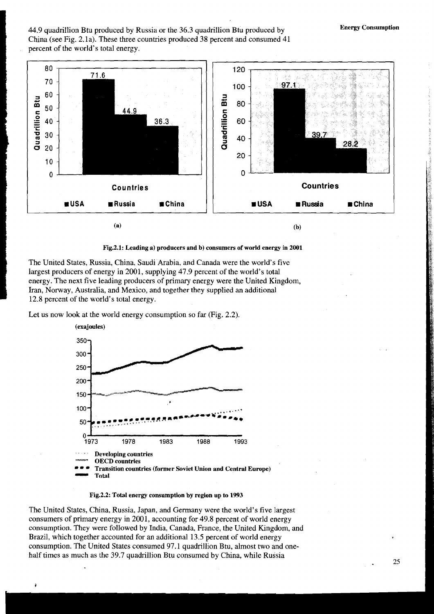44.9 quadrillion Btu produced by Russia or the 36.3 quadrillion Btu produced by **Energy Consumption**  China (see Fig. 2. la). These three countries produced 38 percent and consumed 41 percent of the world's total energy.



**Fig.2.l: Leading a) producers and b) consumers of world energy in 2001** 

The United States, Russia, China, Saudi Arabia, and Canada were the world's five largest producers of energy in 2001, supplying 47.9 percent of the world's total energy. The next five leading producers of primary energy were the United Kingdom, Iran, Norway, Australia, and Mexico, and together they supplied an additional 12.8 percent of the world's total energy.

Let us now look at the world energy consumption so far (Fig. 2.2).



**Fig.2.2: Total energy consumption by region up to 1993** 

The United States, China, Russia, Japan, and Germany were the world's five largest consumers of primary energy in 2001, accounting for 49.8 percent of world energy consumption. They were followed by India, Canada, France, the United Kingdom, and Brazil, which together accounted for an additional 13.5 percent of world energy consumption. The United States consumed 97.1 quadrillion Btu, almost two and onehalf times as much as the 39.7 quadrillion Btu consumed by China, while Russia *<sup>25</sup>*

**f** 

I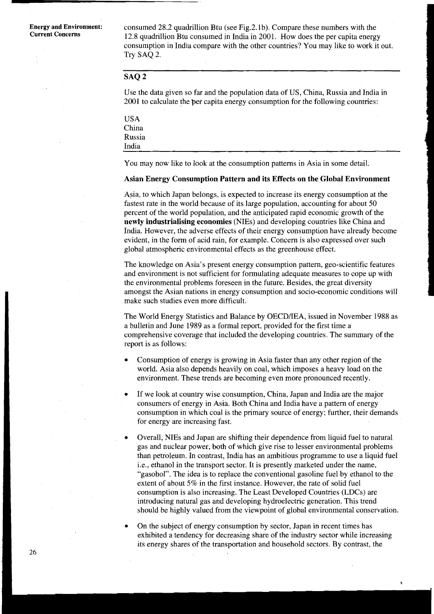**Energy and Environment:** consumed 28.2 quadrillion Btu (see Fig.2.1b). Compare these numbers with the Current Concerns 2.2.2 quadrillion Btu consumed in India in 2001. How does the non centre anomy **Current Concerns** 12.8 quadrillion Btu consumed in India in 2001. How does the per capita energy consumption in India compare with the other countries? You may like to work it out. Try SAQ 2.

# **SAQ 2**

Use the data given so far and the population data of US, China, Russia and India in 2001 to calculate the per capita energy consumption for the following countries:

| <b>USA</b> |  |
|------------|--|
| China      |  |
| Russia     |  |
| India      |  |

You may now like to look at the consumption patterns in Asia in some detail.

#### **Asian Energy Consumption Pattern and its Effects on the Global Environment**

Asia, to which Japan belongs, is expected to increase its energy consumption at the fastest rate in the world because of its large population, accounting for about 50 percent of the world population, and the anticipated rapid economic growth of the **newly industrialising economies** (NIEs) and developing countries like China and India. However, the adverse effects of their energy consumption have already become evident, in the form of acid rain, for example. Concern is also expressed over such global atmospheric environmental effects as the greenhouse effect.

The knowledge on Asia's present energy consumption pattern, geo-scientific features and environment is not sufficient for formulating adequate measures to cope up with the environmental problems foreseen in the future. Besides, the great diversity amongst the Asian nations in energy consumption and socio-economic conditions will make such studies even more difficult.

The World Energy Statistics and Balance by OECD/IEA, issued in November 1988 as a bulletin and June 1989 as a formal report, provided for the first time a comprehensive coverage that included the developing countries. The summary of the report is as follows:

- Consumption of energy is growing in Asia faster than any other region of the world. Asia also depends heavily on coal, which imposes a heavy load on the environment. These trends are becoming even more pronounced recently.
- If we look at country wise consumption, China, Japan and India are the major consumers of energy in Asia. Both China and India have a pattern of energy consumption in which coal is the primary source of energy; further, their demands for energy are increasing fast.
- Overall, NIEs and Japan are shifting their dependence from liquid fuel to natural gas and nuclear power, both of which give rise to lesser environmental problems than petroleum. In contrast, India has an ambitious programme to use a liquid fuel i.e., ethanol in the transport sector. It is presently marketed under the name, "gasohol". The idea is to replace the conventional gasoline fuel by ethanol to the extent of about 5% in the first instance. However, the rate of solid fuel consumption is also increasing. The Least Developed Countries (LDCs) are introducing natural gas and developing hydroelectric generation. This trend should be highly valued from the viewpoint of global environmental conservation.

On the subject of energy consumption by sector, Japan in recent times has exhibited a tendency for decreasing share of the industry sector while increasing its energy shares of the transportation and household sectors. By contrast, the

Ý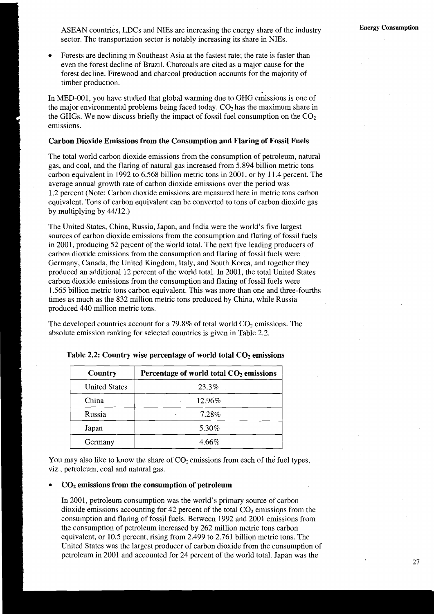ASEAN countries, LDCs and NIEs are increasing the energy share of the industry **Energy Consumption**  sector. The transportation sector is notably increasing its share in NIEs.

Forests are declining in Southeast Asia at the fastest rate; the rate is faster than even the forest decline of Brazil. Charcoals are cited as a major cause for the forest decline. Firewood and charcoal production accounts for the majority of timber production.

In MED-001, you have studied that global warming due to GHG emissions is one of the major environmental problems being faced today.  $CO<sub>2</sub>$  has the maximum share in the GHGs. We now discuss briefly the impact of fossil fuel consumption on the  $CO<sub>2</sub>$ emissions.

#### **Carbon Dioxide Emissions from the Consumption and Flaring of Fossil Fuels**

The total world carbon dioxide emissions from the consumption of petroleum, natural gas, and coal, and the flaring of natural gas increased from 5.894 billion metric tons carbon equivalent in 1992 to 6.568 billion metric tons in 2001, or by 11.4 percent. The average annual growth rate of carbon dioxide emissions over the period was 1.2 percent (Note: Carbon dioxide emissions are measured here in metric tons carbon equivalent. Tons of carbon equivalent can be converted to tons of carbon dioxide gas by multiplying by 44/12.)

The United States, China, Russia, Japan, and India were the world's five largest sources of carbon dioxide emissions from the consumption and flaring of fossil fuels in 2001, producing 52 percent of the world total. The next five leading producers of carbon dioxide emissions from the consumption and flaring of fossil fuels were Germany, Canada, the United Kingdom, Italy, and South Korea, and together they produced an additional 12 percent of the world total. In 2001, the total United States carbon dioxide emissions from the consumption and flaring of fossil fuels were 1.565 billion metric tons carbon equivalent. This was more than one and three-fourths times as much as the 832 million metric tons produced by China, while Russia produced 440 million metric tons.

The developed countries account for a 79.8% of total world  $CO<sub>2</sub>$  emissions. The absolute emission ranking for selected countries is given in Table 2.2.

| Country              | Percentage of world total $CO2$ emissions<br>23.3% |  |
|----------------------|----------------------------------------------------|--|
| <b>United States</b> |                                                    |  |
| China                | 12.96%                                             |  |
| Russia               | 7.28%                                              |  |
| Japan                | 5.30%                                              |  |
| Germany              | 4.66%                                              |  |

Table 2.2: Country wise percentage of world total CO<sub>2</sub> emissions

You may also like to know the share of  $CO<sub>2</sub>$  emissions from each of the fuel types, viz., petroleum, coal and natural gas.

## **COz emissions from the consumption of petroleum**

I

I

In 2001, petroleum consumption was the world's primary source of carbon dioxide emissions accounting for 42 percent of the total  $CO<sub>2</sub>$  emissions from the consumption and flaring of fossil fuels. Between 1992 and 2001 emissions from the consumption of petroleum increased by 262 million metric tons carbon equivalent, or 10.5 percent, rising from 2.499 to 2.761 billion metric tons. The United States was the largest producer of carbon dioxide from the consumption of <sup>I</sup>petroleum in 2001 and accounted for 24 percent of the world total. Japan was the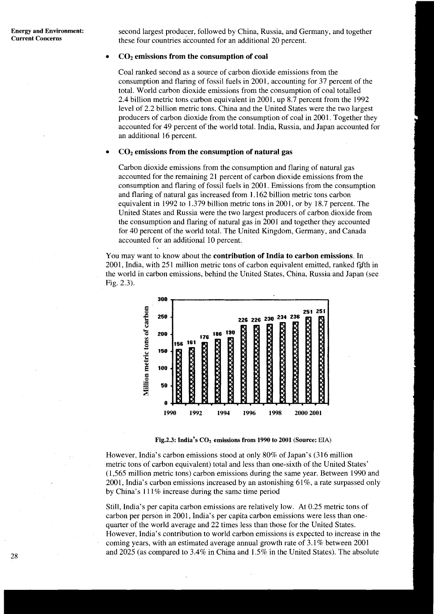second largest producer, followed by China, Russia, and Germany, and together these four countries accounted for an additional 20 percent.

## **COz emissions from the consumption of coal**

Coal ranked second as a source of carbon dioxide emissions from the consumption and flaring of fossil fuels in 2001, accounting for 37 percent of the total. World carbon dioxide emissions from the consumption of coal totalled 2.4 billion metric tons carbon equivalent in 2001, up 8.7 percent from the 1992 level of 2.2 billion metric tons. China and the United States were the two largest producers of carbon dioxide from the consumption of coal in 2001. Together they accounted for 49 percent of the world total. India, Russia, and Japan accounted for an additional 16 percent.

### **COz emissions from the consumption of natural gas**

Carbon dioxide emissions from the consumption and flaring of natural gas accounted for the remaining 21 percent of carbon dioxide emissions from the consumption and flaring of fossil fuels in 2001. Emissions from the consumption and flaring of natural gas increased from I .I62 billion metric tons carbon equivalent in 1992 to 1.379 billion metric tons in 2001, or by 18.7 percent. The United States and Russia were the two largest producers of carbon dioxide from the consumption and flaring of natural gas in 2001 and together they accounted for 40 percent of the world total. The United Kingdom, Germany, and Canada accounted for an additional 10 percent.

You may want to know about the **contribution of India to carbon emissions.** In 2001, India, with 251 million metric tons of carbon equivalent emitted, ranked fjfth in the world in carbon emissions, behind the United States, China, Russia and Japan (see Fig. 2.3).



**Fig.2.3: India's CO<sub>2</sub> emissions from 1990 to 2001 (Source: EIA)** 

However, India's carbon emissions stood at only 80% of Japan's (316 million metric tons of carbon equivalent) total and less than one-sixth of the United States' (1,565 million metric tons) carbon emissions during the same year. Between 1990 and 2001, India's carbon emissions increased by an astonishing 61%, a rate surpassed only by China's 1 11 % increase during the samc time period

Still, India's per capita carbon emissions are relatively low. At 0.25 metric tons of carbon per person in 2001, India's per capita carbon emissions were less than onequarter of the world average and 22 times less than those for the United States. However, India's contribution to world carbon emissions is expected to increase in the coming years, with an estimated average annual growth rate of 3.1% between 2001 and 2025 (as compared to 3.4% in China and 1.5% in the United States). The absolute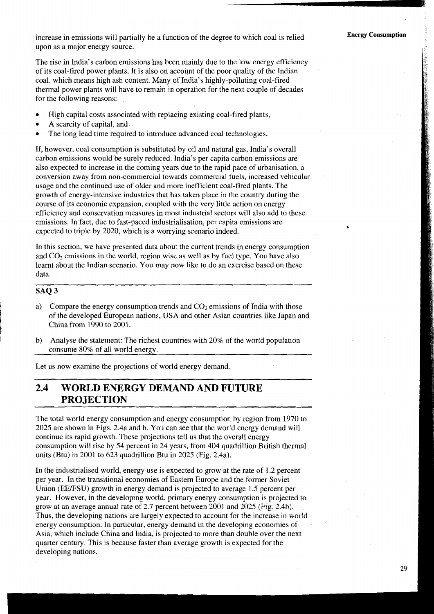increase in emissions will partially be a function of the degree to which coal is relied upon as a major energy source.

The rise in India's carbon emissions has been mainly due to the low energy efficiency of its coal-fired power plants. It is also on account of the poor quality of the Indian coal, which means high ash content. Many of India's highly-polluting coal-fired thermal power plants will have to remain in operation for the next couple of decades for the following reasons:

- High capital costs associated with replacing existing coal-fired plants,
- A scarcity of capital, and
- The long lead time required to introduce advanced coal technologies.

If, however, coal consumption is substituted by oil and natural gas, India's overall carbon emissions would be surely reduced. India's per capita carbon emissions are also expected to increase in the coming years due to the rapid pace of urbanisation, a conversion away from non-commercial towards commercial fuels, increased vehicular usage and the continued use of older and more inefficient coal-fired plants. The growth of energy-intensive industries that has taken place in the country during the course of its economic expansion, coupled with the very little action on energy efficiency and conservation measures in most industrial sectors will also add to these emissions. In fact, due to fast-paced industrialisation, per capita emissions are expected to triple by 2020, which is a worrying scenario indeed.

In this section, we have presented data about the current trends in energy consumption and *C02* emissions in the world, region wise as well as by fuel type. You have also learnt about the Indian scenario. You may now like to do an exercise based on these data.

# ~ -- **SAQ 3**

- a) Compare the energy consumption trends and  $CO<sub>2</sub>$  emissions of India with those of the developed European nations, USA and other Asian countries like Japan and China from 1990 to 2001.
- b) Analyse the statement: The richest countries with 20% of the world population consume 80% of all world energy.

Let us now examine the projections of world energy demand.

# **2.4 WORLD ENERGY DEMAND AND FUTURE PROJECTION**

The total world energy consumption and energy consumption by region from 1970 to 2025 are shown in Figs. 2.4a and b. You can see that the world energy demand will continue its rapid growth. These projections tell us that the overall energy consumption will rise by 54 percent in 24 years, from 404 quadrillion British thermal units (Btu) in 2001 to 623 quadrillion Btu in 2025 (Fig. 2.4a).

In the industrialised world, energy use is expected to grow at the rate of 1.2 percent per year. In the transitional economies of Eastern Europe and the former Soviet Union (EEJFSU) growth in energy demand is projected to average 1.5 percent per year. However, in the developing world, primary energy consumption is projected to grow at an average annual rate of 2.7 percent between 2001 and 2025 (Fig. 2.4b). Thus, the developing nations are largely expected to account for the increase in world energy consumption. In particular, energy demand in the developing economies of Asia, which include China and India, is projected to more than double over the next quarter century. This is because faster than average growth is expected for the developing nations.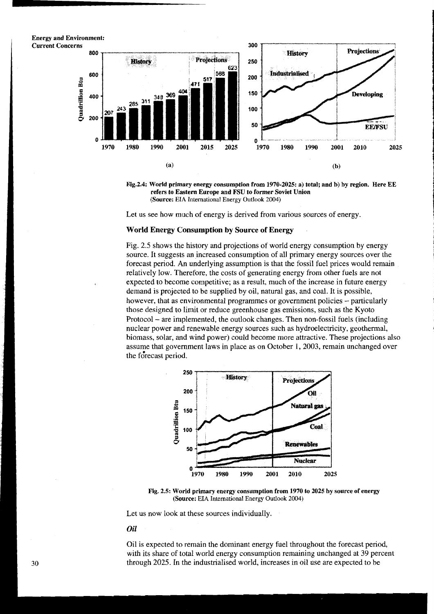**Energy and Environment:** i





i 1 i **1** 

**4**  ,

I

Let us see how much of energy is derived from various sources of energy.

## **World Energy Consumption by Source of Energy**

Fig. 2.5 shows the history and projections of world energy consumption by energy source. It suggests an increased consumption of all primary energy sources over the forecast period. An underlying assumption is that the fossil fuel prices would remain relatively low. Therefore, the costs of generating energy from other fuels are not expected to become competitive; as a result, much of the increase in future energy demand is projected to be supplied by oil, natural gas, and coal. It is possible, however, that as environmental programmes or government policies – particularly those designed to limit or reduce greenhouse gas emissions, such as the Kyoto Protocol - are implemented, the outlook changes. Then non-fossil fuels (including nuclear power and renewable energy sources such as hydroelectricity, geothermal, biomass, solar, and wind power) could become more attractive. These projections also assume that government laws in place as on October 1,2003, remain unchanged over the forecast period.



**Fig. 2.5: World primary energy consumption from 1970 to 2025 by source of energy (Source: EIA** International **Energy** Outlook 2004)

Let us now look at these sources individually.

#### *Oil*

Oil is expected to remain the dominant energy fuel throughout the forecast period, with its share of total world energy consumption remaining unchanged at 39 percent through 2025. In the industrialised world, increases in oil use are expected to be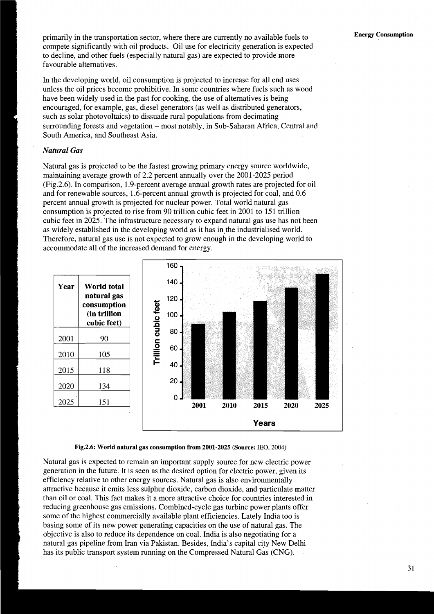primarily in the transportation sector, where there are currently no available fuels to compete significantly with oil products. Oil use for electricity generation is expected to decline, and other fuels (especially natural gas) are expected to provide more favourable alternatives.

In the developing world, oil consumption is projected to increase for all end uses unless the oil prices become prohibitive. In some countries where fuels such as wood have been widely used in the past for cooking, the use of alternatives is being encouraged, for example, gas, diesel generators (as well as distributed generators, such as solar photovoltaics) to dissuade rural populations from decimating surrounding forests and vegetation - most notably, in Sub-Saharan Africa, Central and South America, and Southeast Asia.

# *Natural* **Gas**

Natural gas is projected to be the fastest growing primary energy source worldwide, maintaining average growth of 2.2 percent annually over the 2001-2025 period (Fig.2.6). In comparison, 1.9-percent average annual growth rates are projected for oil and for renewable sources, 1.6-percent annual growth is projected for coal, and 0.6 percent annual growth is projected for nuclear power. Total world natural gas consumption is projected to rise from 90 trillion cubic feet in 2001 to 151 trillion cubic feet in 2025. The infrastructure necessary to expand natural gas use has not been as widely established in the developing world as it has in the industrialised world. Therefore, natural gas use is not expected to grow enough in the developing world to accommodate all of the increased demand for energy.





Natural gas is expected to remain an important supply source for new electric power generation in the future. It is seen as the desired option for electric power, given its efficiency relative to other energy sources. Natural gas is also environmentally attractive because it emits less sulphur dioxide, carbon dioxide, and particulate matter than oil or coal. This fact makes it a more attractive choice for countries interested in reducing greenhouse gas emissions. Combined-cycle gas turbine power plants offer some of the highest commercially available plant efficiencies. Lately India too is basing some of its new power generating capacities on the use of natural gas. The objective is also to reduce its dependence on coal. India is also negotiating for a natural gas pipeline from Iran via Pakistan. Besides, India's capital city New Delhi has its public transport system running on the Compressed Natural Gas (CNG).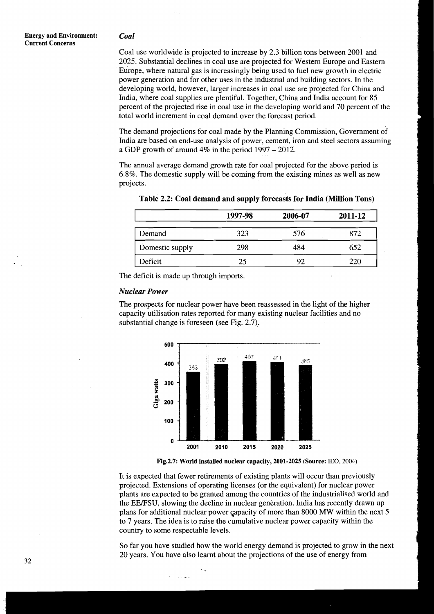Coal use worldwide is projected to increase by 2.3 billion tons between 2001 and 2025. Substantial declines in coal use are projected for Western Europe and Eastern Europe, where natural gas is increasingly being used to fuel new growth in electric power generation and for other uses in the industrial and building sectors. In the developing world, however, larger increases in coal use are projected for China and India, where coal supplies are plentiful. Together, China and India account for 85 percent of the projected rise in coal use in the developing world and 70 percent of the total world increment in coal demand over the forecast period.

The demand projections for coal made by the Planning Commission, Government of India are based on end-use analysis of power, cement, iron and steel sectors assuming a GDP growth of around  $4\%$  in the period  $1997 - 2012$ .

The annual average demand growth rate for coal projected for the above period is 6.8%. The domestic supply will be coming from the existing mines as well as new projects.

|                 | 1997-98 | 2006-07 | 2011-12 |
|-----------------|---------|---------|---------|
| Demand          | 323     | 576     | 872     |
| Domestic supply | 298     | 484     | 652     |
| Deficit         | 25      | 92      | 220     |

Table 2.2: Coal demand and supply forecasts for India (Million Tons)

The deficit is made up through imports.

#### *Nuclear Power*

The prospects for nuclear power have been reassessed in the light of the higher capacity utilisation rates reported for many existing nuclear facilities and no substantial change is foreseen (see Fig. 2.7).



**Fig.2.7: World installed nuclear capacity, 2001-2025 (Source:** IEO, **2004)** 

It is expected that fewer retirements of existing plants will occur than previously projected. Extensions of operating licenses (or the equivalent) for nuclear power plants are expected to be granted among the countries of the industrialised world and the EE/FSU, slowing the decline in nuclear generation. India has recently drawn up plans for additional nuclear power capacity of more than 8000 MW within the next 5 to 7 years. The idea is to raise the cumulative nuclear power capacity within the country to some respectable levels.

So far you have studied how the world energy demand is projected to grow in the next 20 years. You have also learnt about the projections of the use of energy from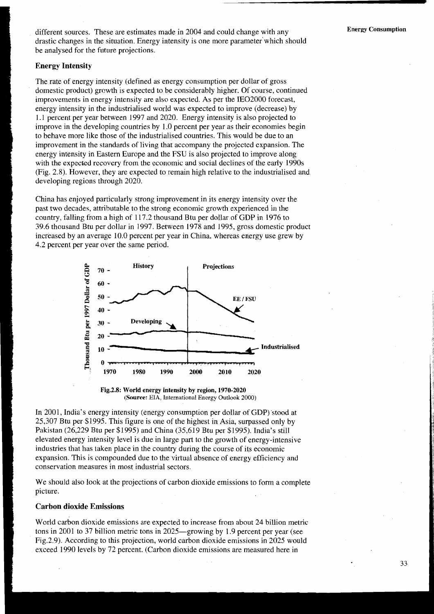different sources. These are estimates made in 2004 and could change with any **Energy Consumption** drastic changes in the situation. Energy intensity is one more parameter'which should be analysed for the future projections.

# **Energy Intensity**

The rate of energy intensity (defined as energy consumption per dollar of gross domestic product) grcwth is expected to be considerably higher. Of course, continued improvements in energy intensity are also expected. As per the IE02000 forecast, energy intensity in the industrialised world was expected to improve (decrease) by 1.1 percent per year between 1997 and 2020. Energy intensity is also projected to improve in the developing countries by 1 .O percent per year as their economies begin to behave more like those of the industrialised countries. This would be due to an improvement in the standards of living that accompany the projected expansion. The energy intensity in Eastern Europe and the FSU is also projected to improve along with the expected recovery from the economic and social declines of the early 1990s (Fig. 2.8). However, they are expected to remain high relative to the industrialised and developing regions through 2020.

China has enjoyed particularly strong improvement in its energy intensity over the past two decades, attributable to the strong economic growth experienced in the country, falling from a high of 117.2 thousand Btu per dollar of GDP in 1976 to 39.6 thousand Btu per dollar in 1997. Between 1978 and 1995, gross domestic product increased by an average 10.0 percent per year in China, whereas energy use grew by 4.2 percent per year over the same period.





In 2001, India's energy intensity (energy consumption per dollar of GDP) stood at 25,307 Btu per \$1995. This figure is one of the highest in Asia, surpassed only by Pakistan (26,229 Btu per \$1995) and China (35,619 Btu per \$1995). India's still elevated energy intensity level is due in large part to the growth of energy-intensive industries that has taken place in the country during the course of its economic expansion. This is compounded due to the virtual absence of energy efficiency and conservation measures in most industrial sectors.

We should also look at the projections of carbon dioxide emissions to form a complete picture.

## **Carbon dioxide Emissions**

World carbon dioxide emissions are expected to increase from about 24 billion metric tons in 2001 to 37 billion metric tons in 2025—growing by 1.9 percent per year (see Fig.2.9). According to this projection, world carbon dioxide emissions in 2025 would exceed 1990 levels by 72 percent. (Carbon dioxide emissions are measured here in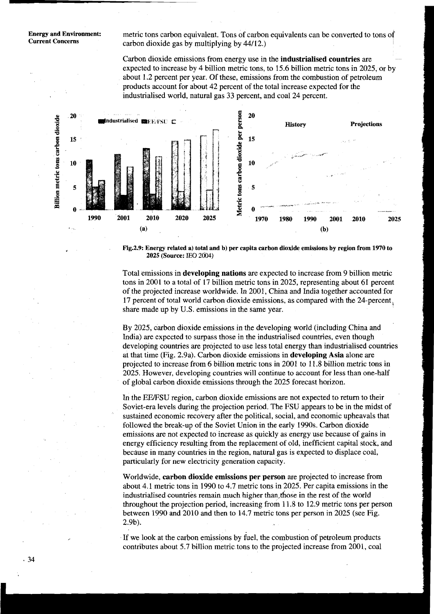**Energy and Environment:** metric tons carbon equivalent. Tons of carbon equivalents can be converted to tons of **Current Concerns** carbon dioxide gas by multiplying by 44/12.)

> Carbon dioxide emissions from energy use in the **industrialised countries** are expected to increase by 4 billion metric tons, to 15.6 billion metric tons in 2025, or by about 1.2 percent per year. Of these, emissions from the combustion of petroleum products account for about 42 percent of the total increase expected for the industrialised world, natural gas 33 percent, and coal 24 percent.



**Fig.2.9: Energy related a) total and b) per capita carbon dioxide emissions by region from 1970 to 2025 (Source:** IEO **2604)** 

Total emissions in **developing nations** are expected to increase from 9 billion metric tons in 2001 to a total of 17 billion metric tons in 2025, representing about 61 percent of the projected increase worldwide. In 2001, China and India together accounted for 17 percent of total world carbon dioxide emissions, as compared with the 24-percent, share made up by U.S. emissions in the same year.

By 2025, carbon dioxide emissions in the developing world (including China and India) are expected to surpass those in the industrialised countries, even though developing countries are projected to use less total energy than industrialised countries at that time (Fig. 2.9a). Carbon dioxide emissions in **developing Asia** alone are projected to increase from 6 billion metric tons in 2001 to 11.8 billion metric tons in 2025. However, developing countries will continue to account for less than one-half of global carbon dioxide emissions through the 2025 forecast horizon.

In the EEJFSU region, carbon dioxide emissions are not expected to return to their Soviet-era levels during the projection period. The FSU appears to be in the midst of sustained economic recovery after the political, social, and economic upheavals that followed the break-up of the Soviet Union in the early 1990s. Carbon dioxide emissions are not expected to increase as quickly as energy use because of gains in energy efficiency resulting from the replacement of old, inefficient capital stock, and because in many countries in the region, natural gas is expected to displace coal, particularly for new electricity generation capacity.

Worldwide, **carbon dioxide emissions per person** are projected to increase from about 4.1 metric tons in 1990 to 4.7 metric tons in 2025. Per capita emissions in the industrialised countries remain much higher than, those in the rest of the world throughout the projection period, increasing from 11.8 to 12.9 metric tons per person between 1990 and 2010 and then to 14.7 metric tons per person in 2025 (see Fig. 2.9b).

If we look at the carbon emissions by fuel, the combustion of petroleum products contributes about 5.7 billion metric tons to the projected increase from 2001, coal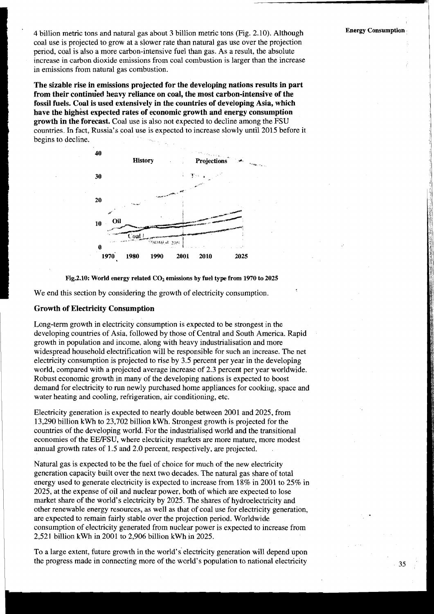4 billion metric tons and natural gas about 3 billion metric tons (Fig. 2.10). Although **Energy Consumption**  coal use is projected to grow at a slower rate than natural gas use over the projection period, coal is also a more carbon-intensive fuel than gas. As a result, the absolute increase in carbon dioxide emissions from coal combustion is larger than the increase in emissions from natural gas combustion.

**The sizable rise in emissions projected for the developing nations results in part**  from their continued heavy reliance on coal, the most carbon-intensive of the **fossil fuels. Coal is used extensively in the countries of developing Asia, which have the highest expected rates of economic growth and energy consumption growth in the forecast.** Coal use is also not expected to decline among the FSU countries. In fact, Russia's coal use is expected to increase slowly until 2015 before it begins to decline.





We end this section by considering the growth of electricity consumption.

# **Growth of Electricity Consumption**

Long-term growth in electricity consumption is expected to be strongest in the developing countries of Asia, followed by those of Central and South America. Rapid growth in population and income, along with heavy industrialisation and more widespread household electrification will be responsible for such an increase. The net electricity consumption is projected to rise by 3.5 percent per year in the developing world, compared with a projected average increase of 2.3 percent per year worldwide. Robust economic growth in many of the developing nations is expected to boost demand for electricity to run newly purchased home appliances for cooking, space and water heating and cooling, refrigeration, air conditioning, etc.

Electricity generation is expected to nearly double between 2001 and 2025, from 13,290 billion kwh to 23,702 billion kwh. Strongest growth is projected for the countries of the developing world. For the industrialised world and the transitional economies of the EE/FSU, where electricity markets are more mature, more modest annual growth rates of 1.5 and 2.0 percent, respectively, are projected.

Natural gas is expected to be the fuel of choice for much of the new electricity generation capacity built over the next two decades. The natural gas share of total energy used to generate electricity is expected to increase from 18% in 2001 to 25% in 2025, at the expense of oil and nuclear power, both of which are expected to lose market share of the world's electricity by 2025. The shares of hydroelectricity and other renewable energy resources, as well as that of coal use for electricity generation, are expected to remain fairly stable over the projection period. Worldwide consumption of electricity generated from nuclear power is expected to increase from 2,521 billion kWh in 2001 to 2,906 billion kWh in 2025.

To a large extent, future growth in the world's electricity generation will depend upon the progress made in connecting more of the world's population to national electricity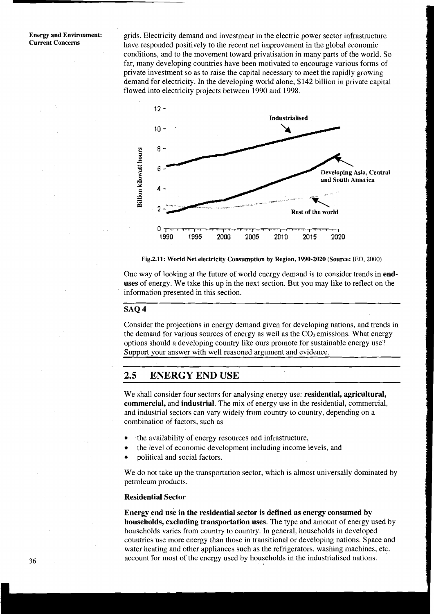#### **Energy and Environment: Current Concerns**

grids. Electricity demand and investment in the electric power sector infrastructure have responded positively to the recent net improvement in the global economic conditions, and to the movement toward privatisation in many parts of the world. So far, many developing countries have been motivated to encourage various forms of private investment so as to raise the capital necessary to meet the rapidly growing demand for electricity. In the developing world alone, \$142 billion in private capital flowed into electricity projects between 1990 and 1998.



**Fig.2.11: World Net electricity Consumption by Region, 1990-2020 (Source: IEO, 2000)** 

One way of looking at the future of world energy demand is to consider trends in **enduses** of energy. We take this up in the next section. But you may like to reflect on the information presented in this section.

# **SAQ 4**

Consider the projections in energy demand given for developing nations, and trends in the demand for various sources of energy as well as the  $CO<sub>2</sub>$  emissions. What energy options should a developing country like ours promote for sustainable energy use? Support your answer with well reasoned argument and evidence.

# **2.5 ENERGY END USE**

We shall consider four sectors for analysing energy use: **residential, agricultural, commercial,** and **industrial.** The mix of energy use in the residential, commercial, and industrial sectors can vary widely from country to country, depending on a combination of factors, such as

- the availability of energy resources and infrastructure,  $\bullet$
- the level of economic development including income levels, and
- political and social factors.

We do not take up the transportation sector, which is almost universally dominated by petroleum products.

#### **Residential Sector**

**Energy end use in the residential sector is defined as energy consumed by households, excluding transportation uses.** The type and amount of energy used by households varies from country to country. In general, households in developed countries use more energy than those in transitional or developing nations. Space and water heating and other appliances such as the refrigerators, washing machines, etc. account for most of the energy used by households in the industrialised nations.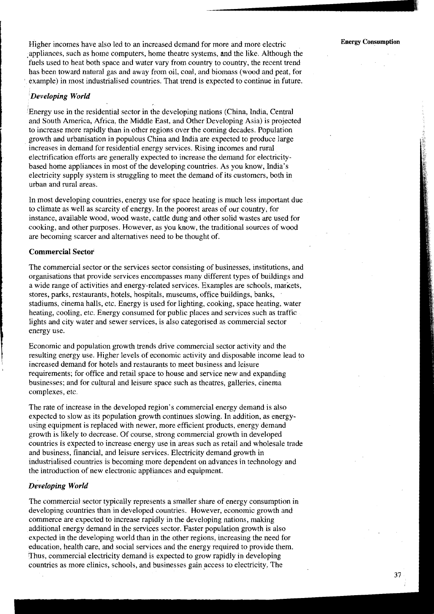**37** 

Higher incomes have also led to an increased demand for more and more electric **Energy Consumption**  appliances, such as home computers, home theatre systems, and the like. Although the fuels used to heat both space and water vary from country to country, the recent trend bas been toward natural gas and away from oil, coal, and biomass (wood and peat, for example) in most industrialised countries. That trend is expected to continue in future.

# *'Developing World*

'Energy use in the residential sector in the developing nations (China, India, Central and South America, Africa, the Middle East, and Other Developing Asia) is projected to increase more rapidly than in other regions over the coming decades. Population growth and urbanisation in populous China and India are expected to produce large increases in demand for residential energy services. Rising incomes and rural electrification efforts are generally expected to increase the demand for electricitybased home appliances in most of the developing countries. As you know, India's electricity supply system is struggling to meet the demand of its customers, both in urban and rural areas.

In most developing countries, energy use for space heating is much less important due to climate as well as scarcity of energy. In the poorest areas of our country, for instance, available wood, wood waste, cattle dung.and other solid wastes are used for cooking, and other purposes. However, as you know, the traditional sources of wood are becoming scarcer and alternatives need to be thought of.

### **Commercial Sector**

The commercial sector or the services sector consisting of businesses, institutions, and organisations that provide services encompasses many different types of buildings and a wide range of activities and energy-related services. Examples are schools, markets, stores, parks, restaurants, hotels, hospitals, museums, office buildings, banks, stadiums, cinema halls, etc. Energy is used for lighting, cooking, space heating, water heating, cooling, etc. Energy consumed for public places and services such as traffic lights and city water and sewer services, is also categorised as commercial sector energy use.

Economic and population growth trends drive commercial sector activity and the resulting energy use. Higher levels of economic activity and disposable income lead to increased demand for hotels and restaurants to meet business and leisure requirements; for office and retail space to house and service new and expanding businesses; and for cultural and leisure space such as theatres, galleries, cinema complexes, etc.

The rate of increase in the developed region's commercial energy demand is also expected to slow as its population growth continues slowing. In addition, as energyusing equipment is replaced with newer, more efficient products, energy demand growth is likely to decrease. Of course, strong commercial growth in developed countries is expected to increase energy use in areas such as retail and wholesale trade and business, financial, and leisure services. Electricity demand growth in industrialised countries is becoming more dependent on advances in technology and the introduction of new electronic appliances and equipment.

## **Developing World**

The commercial sector typically represents a smaller share of energy consumption in developing countries than in developed countries. However, economic growth and commerce are expected to increase rapidly in the developing nations, making additional energy demand in the services sector. Faster population growth is also expected in the developing world than in the other regions, increasing the need for education, health care, and social services and the energy required to provide them. Thus, commercial electricity demand is expected to grow rapidly in developing countries as more clinics, schools, and businesses gain access to electricity. The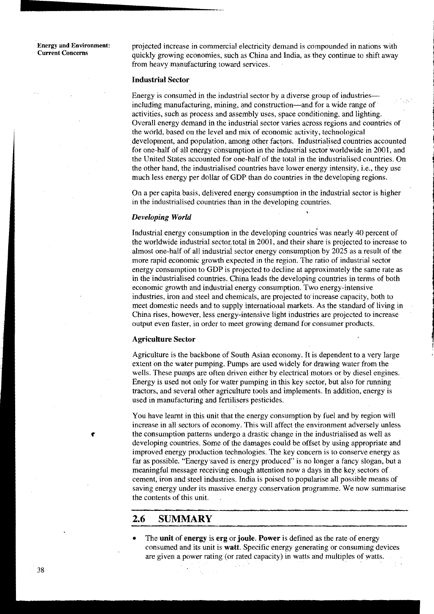**Energy and Environment:** projected increase in commercial electricity demand is compounded in nations with Current Concerns **Current Concerns** quickly growing economies, such as China and India, as they continue to shift away from heavy manufacturing toward services.

## **Industrial Sector**

**5**  Energy is consumed in the industrial sector by a diverse group of industriesincluding manufacturing, mining, and construction—and for a wide range of activities, such as process and assembly uses, space conditioning, and lighting. Overall energy demand in the industrial sector varies across regions and countries of the world, based on the level and mix of economic activity, technological development, and population, among other factprs. Industrialised countries accounted for one-half of all energy consumption in the industrial sector worldwide in 2001, and the United States accounted for one-half of the total in the industrialised countries. On the other hand, the industrialised countries have lower energy intensity, i.e., they use much less energy per dollar of GDP than do countries in the developing regions.

On a per capita basis, delivered energy consumption in the industrial sector is higher in the industrialised countries than in the developing countries. , *Developing World* 

Industrial energy consumption in the developing countries was nearly 40 percent of the worldwide industrial sector total in 2001, and their share is projected to increase to almost one-half of all industrial sector energy consumption by 2025 as a result of the more rapid economic growth expected in the region. The ratio of industrial sector energy consumption to GDP is projected to decline at approximately the same rate as in the industrialised countries. China leads the developing countries in terms of both economic growth and industrial energy consumption. Two energy-intensive industries, iron and steel and chemicals, are projected to increase capacity, both to meet domestic needs and to supply international markets. As the standard of living in China rises, however, less energy-intensive light industries are projected to increase output even faster, in order to meet growing demand for consumer products.

### **Agriculture Sector**

Agriculture is the backbone of South Asian economy. It is dependent to a very large extent on the water pumping. Pumps are used widely for drawing water from the wells. These pumps are often driven either by electrical motors or by diesel engines. Energy is used not only for water pumping in this key sector, but also for running tractors, and several other agriculture tools and implements. In addition, energy is used in manufacturing and fertilisers pesticides.

You have learnt in this unit that the energy consumption by fuel and by region will increase in all sectors of economy. This will affect the environment adversely unless **e** the consumption patterns undergo a drastic change in the industrialised as well as developing countries. Some of the damages could be offset by using appropriate and improved energy production technologies. The key concern is to conserve energy as far as possible. "Energy.saved is energy produced" is no longer a fancy slogan, but a meaningful message receiving enough attention now a days in the key. sectors of cement, iron and steel industries. India is poised to popularise all possible means of saving energy under its massive energy conservation programme. We now summarise the contents of this unit.

# **2.6 SUMMARY**

The **unit** of **energy** is **erg** or **joule. Power ir** defined as the rate of energy consumed and its unit is **watt.** Specific energy generating or consuming devices are given a power rating (or rated capacity) in watts and multiples of watts.

 $\mathbb{R}^{n}$  .